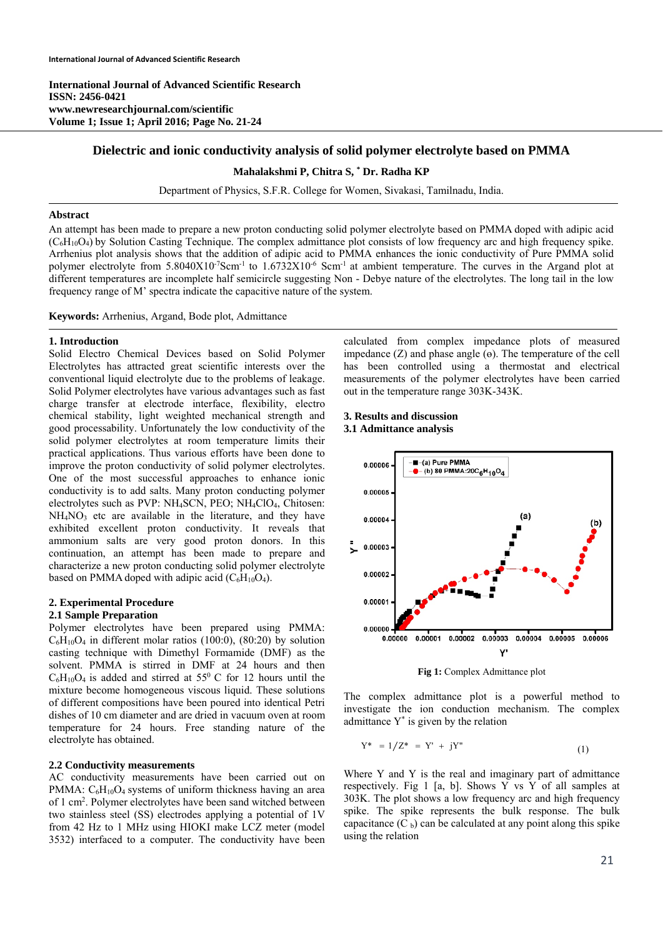**International Journal of Advanced Scientific Research ISSN: 2456-0421 www.newresearchjournal.com/scientific Volume 1; Issue 1; April 2016; Page No. 21-24** 

# **Dielectric and ionic conductivity analysis of solid polymer electrolyte based on PMMA**

# **Mahalakshmi P, Chitra S, \* Dr. Radha KP**

Department of Physics, S.F.R. College for Women, Sivakasi, Tamilnadu, India.

# **Abstract**

An attempt has been made to prepare a new proton conducting solid polymer electrolyte based on PMMA doped with adipic acid  $(C<sub>6</sub>H<sub>10</sub>O<sub>4</sub>)$  by Solution Casting Technique. The complex admittance plot consists of low frequency arc and high frequency spike. Arrhenius plot analysis shows that the addition of adipic acid to PMMA enhances the ionic conductivity of Pure PMMA solid polymer electrolyte from 5.8040X10<sup>-7</sup>Scm<sup>-1</sup> to 1.6732X10<sup>-6</sup> Scm<sup>-1</sup> at ambient temperature. The curves in the Argand plot at different temperatures are incomplete half semicircle suggesting Non - Debye nature of the electrolytes. The long tail in the low frequency range of M' spectra indicate the capacitive nature of the system.

**Keywords:** Arrhenius, Argand, Bode plot, Admittance

## **1. Introduction**

Solid Electro Chemical Devices based on Solid Polymer Electrolytes has attracted great scientific interests over the conventional liquid electrolyte due to the problems of leakage. Solid Polymer electrolytes have various advantages such as fast charge transfer at electrode interface, flexibility, electro chemical stability, light weighted mechanical strength and good processability. Unfortunately the low conductivity of the solid polymer electrolytes at room temperature limits their practical applications. Thus various efforts have been done to improve the proton conductivity of solid polymer electrolytes. One of the most successful approaches to enhance ionic conductivity is to add salts. Many proton conducting polymer electrolytes such as PVP: NH<sub>4</sub>SCN, PEO; NH<sub>4</sub>ClO<sub>4</sub>, Chitosen:  $NH<sub>4</sub>NO<sub>3</sub>$  etc are available in the literature, and they have exhibited excellent proton conductivity. It reveals that ammonium salts are very good proton donors. In this continuation, an attempt has been made to prepare and characterize a new proton conducting solid polymer electrolyte based on PMMA doped with adipic acid  $(C_6H_{10}O_4)$ .

# **2. Experimental Procedure 2.1 Sample Preparation**

Polymer electrolytes have been prepared using PMMA:  $C_6H_{10}O_4$  in different molar ratios (100:0), (80:20) by solution casting technique with Dimethyl Formamide (DMF) as the solvent. PMMA is stirred in DMF at 24 hours and then  $C_6H_{10}O_4$  is added and stirred at 55<sup>0</sup> C for 12 hours until the mixture become homogeneous viscous liquid. These solutions of different compositions have been poured into identical Petri dishes of 10 cm diameter and are dried in vacuum oven at room temperature for 24 hours. Free standing nature of the electrolyte has obtained.

#### **2.2 Conductivity measurements**

AC conductivity measurements have been carried out on PMMA:  $C_6H_{10}O_4$  systems of uniform thickness having an area of 1 cm2 . Polymer electrolytes have been sand witched between two stainless steel (SS) electrodes applying a potential of 1V from 42 Hz to 1 MHz using HIOKI make LCZ meter (model 3532) interfaced to a computer. The conductivity have been

calculated from complex impedance plots of measured impedance  $(Z)$  and phase angle  $(\theta)$ . The temperature of the cell has been controlled using a thermostat and electrical measurements of the polymer electrolytes have been carried out in the temperature range 303K-343K.

## **3. Results and discussion 3.1 Admittance analysis**



**Fig 1:** Complex Admittance plot

The complex admittance plot is a powerful method to investigate the ion conduction mechanism. The complex admittance  $Y^*$  is given by the relation

$$
Y^* = 1/Z^* = Y' + jY''
$$
 (1)

Where Y and Y is the real and imaginary part of admittance respectively. Fig 1 [a, b]. Shows Y vs Y of all samples at 303K. The plot shows a low frequency arc and high frequency spike. The spike represents the bulk response. The bulk capacitance  $(C_b)$  can be calculated at any point along this spike using the relation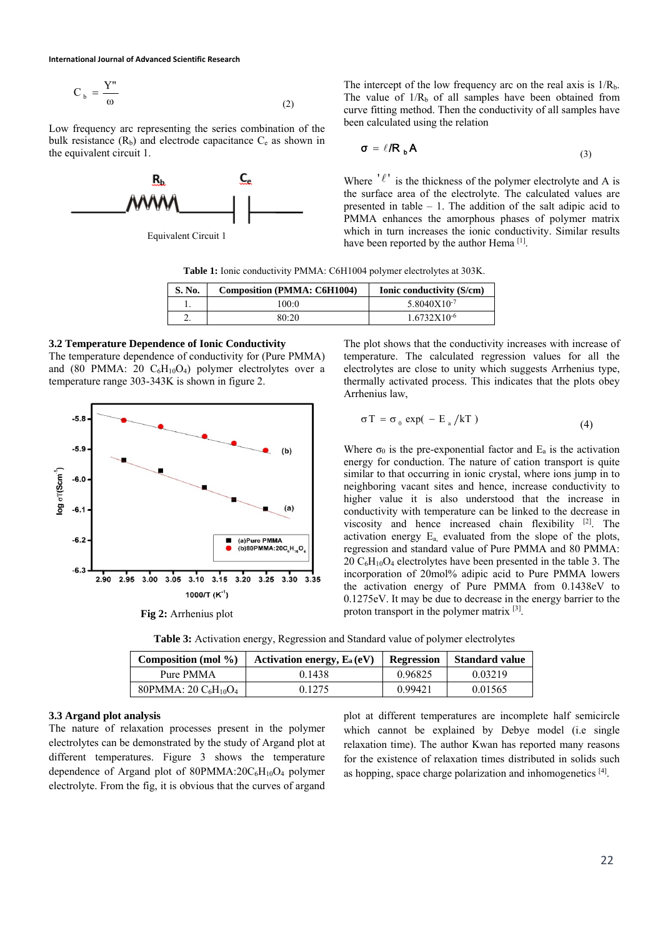**International Journal of Advanced Scientific Research**

$$
C_b = \frac{Y''}{\omega} \tag{2}
$$

Low frequency arc representing the series combination of the bulk resistance  $(R_b)$  and electrode capacitance  $C_e$  as shown in the equivalent circuit 1.



Equivalent Circuit 1

The intercept of the low frequency arc on the real axis is  $1/R<sub>b</sub>$ . The value of  $1/R_b$  of all samples have been obtained from curve fitting method. Then the conductivity of all samples have been calculated using the relation

$$
\sigma = \ell / R_{b} A
$$
 (3)

Where  $' \ell'$  is the thickness of the polymer electrolyte and A is the surface area of the electrolyte. The calculated values are presented in table – 1. The addition of the salt adipic acid to PMMA enhances the amorphous phases of polymer matrix which in turn increases the ionic conductivity. Similar results have been reported by the author Hema [1].

**Table 1:** Ionic conductivity PMMA: C6H1004 polymer electrolytes at 303K.

| S. No. | Composition (PMMA: C6H1004) | Ionic conductivity (S/cm) |  |
|--------|-----------------------------|---------------------------|--|
|        | 100:0                       | $5.8040X10^{-7}$          |  |
|        | 80:20                       | $1.6732X10^{-6}$          |  |

# **3.2 Temperature Dependence of Ionic Conductivity**

The temperature dependence of conductivity for (Pure PMMA) and (80 PMMA: 20  $C_6H_{10}O_4$ ) polymer electrolytes over a temperature range 303-343K is shown in figure 2.



**Fig 2:** Arrhenius plot

The plot shows that the conductivity increases with increase of temperature. The calculated regression values for all the electrolytes are close to unity which suggests Arrhenius type, thermally activated process. This indicates that the plots obey Arrhenius law,

$$
\sigma T = \sigma_0 \exp(-E_a / kT)
$$
 (4)

Where  $\sigma_0$  is the pre-exponential factor and  $E_a$  is the activation energy for conduction. The nature of cation transport is quite similar to that occurring in ionic crystal, where ions jump in to neighboring vacant sites and hence, increase conductivity to higher value it is also understood that the increase in conductivity with temperature can be linked to the decrease in viscosity and hence increased chain flexibility [2]. The activation energy Ea, evaluated from the slope of the plots, regression and standard value of Pure PMMA and 80 PMMA:  $20 \text{ C}_6\text{H}_{10}\text{O}_4$  electrolytes have been presented in the table 3. The incorporation of 20mol% adipic acid to Pure PMMA lowers the activation energy of Pure PMMA from 0.1438eV to 0.1275eV. It may be due to decrease in the energy barrier to the proton transport in the polymer matrix [3].

**Table 3:** Activation energy, Regression and Standard value of polymer electrolytes

| Composition (mol $\%$ )                         | Activation energy, $E_a(eV)$ | <b>Regression</b> | <b>Standard value</b> |
|-------------------------------------------------|------------------------------|-------------------|-----------------------|
| Pure PMMA                                       | 0.1438                       | 0.96825           | 0.03219               |
| 80PMMA: $20 \text{ C}_6\text{H}_{10}\text{O}_4$ | 0.1275                       | 0.99421           | 0.01565               |

# **3.3 Argand plot analysis**

The nature of relaxation processes present in the polymer electrolytes can be demonstrated by the study of Argand plot at different temperatures. Figure 3 shows the temperature dependence of Argand plot of 80PMMA:20C<sub>6</sub>H<sub>10</sub>O<sub>4</sub> polymer electrolyte. From the fig, it is obvious that the curves of argand plot at different temperatures are incomplete half semicircle which cannot be explained by Debye model (i.e single relaxation time). The author Kwan has reported many reasons for the existence of relaxation times distributed in solids such as hopping, space charge polarization and inhomogenetics [4].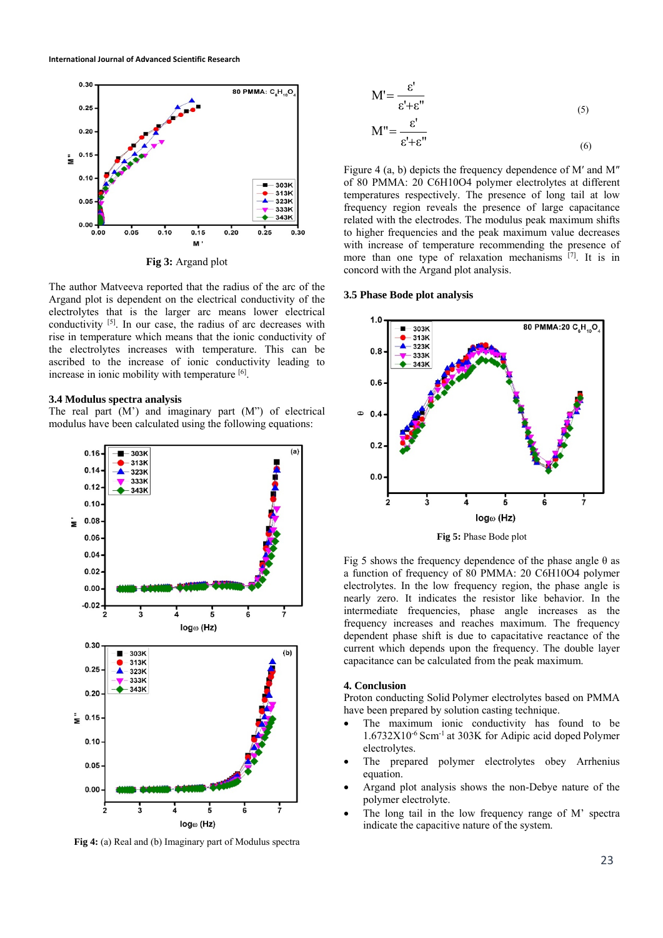

**Fig 3:** Argand plot

The author Matveeva reported that the radius of the arc of the Argand plot is dependent on the electrical conductivity of the electrolytes that is the larger arc means lower electrical conductivity [5]. In our case, the radius of arc decreases with rise in temperature which means that the ionic conductivity of the electrolytes increases with temperature. This can be ascribed to the increase of ionic conductivity leading to increase in ionic mobility with temperature [6].

#### **3.4 Modulus spectra analysis**

The real part  $(M')$  and imaginary part  $(M'')$  of electrical modulus have been calculated using the following equations:



**Fig 4:** (a) Real and (b) Imaginary part of Modulus spectra

$$
M' = \frac{\varepsilon'}{\varepsilon' + \varepsilon''}
$$
\n(5)

$$
M'' = \frac{\varepsilon'}{\varepsilon' + \varepsilon''}
$$
 (6)

Figure 4 (a, b) depicts the frequency dependence of M′ and M″ of 80 PMMA: 20 C6H10O4 polymer electrolytes at different temperatures respectively. The presence of long tail at low frequency region reveals the presence of large capacitance related with the electrodes. The modulus peak maximum shifts to higher frequencies and the peak maximum value decreases with increase of temperature recommending the presence of more than one type of relaxation mechanisms [7]. It is in concord with the Argand plot analysis.

# **3.5 Phase Bode plot analysis**



**Fig 5:** Phase Bode plot

Fig 5 shows the frequency dependence of the phase angle  $\theta$  as a function of frequency of 80 PMMA: 20 C6H10O4 polymer electrolytes. In the low frequency region, the phase angle is nearly zero. It indicates the resistor like behavior. In the intermediate frequencies, phase angle increases as the frequency increases and reaches maximum. The frequency dependent phase shift is due to capacitative reactance of the current which depends upon the frequency. The double layer capacitance can be calculated from the peak maximum.

#### **4. Conclusion**

Proton conducting Solid Polymer electrolytes based on PMMA have been prepared by solution casting technique.

- The maximum ionic conductivity has found to be 1.6732X10-6 Scm-1 at 303K for Adipic acid doped Polymer electrolytes.
- The prepared polymer electrolytes obey Arrhenius equation.
- Argand plot analysis shows the non-Debye nature of the polymer electrolyte.
- The long tail in the low frequency range of M' spectra indicate the capacitive nature of the system.